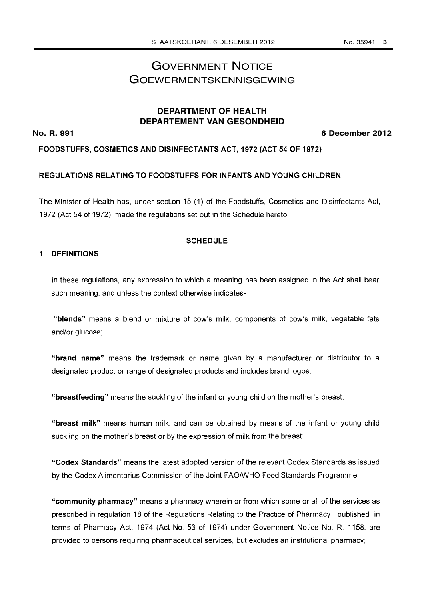## GOVERNMENT NOTICE GOEWERMENTSKENNISGEWING

## **DEPARTMENT OF HEALTH DEPARTEMENT VAN GESONDHEID**

**No. R. 991 6 December 2012**

FOODSTUFFS, COSMETICS AND DISINFECTANTS ACT, 1972 (ACT 54 OF 1972)

#### REGULATIONS RELATING TO FOODSTUFFS FOR INFANTS AND YOUNG CHILDREN

The Minister of Health has, under section 15 (1) of the Foodstuffs, Cosmetics and Disinfectants Act, 1972 (Act 54 of 1972), made the regulations set out in the Schedule hereto.

#### SCHEDULE

#### <sup>1</sup> DEFINITIONS

In these regulations, any expression to which a meaning has been assigned in the Act shall bear such meaning, and unless the context otherwise indicates-

"blends" means a blend or mixture of cow's milk, components of cow's milk, vegetable fats and/or glucose;

"brand name" means the trademark or name given by a manufacturer or distributor to a designated product or range of designated products and includes brand logos;

"breastfeeding" means the suckling of the infant or young child on the mother's breast;

"breast milk" means human milk, and can be obtained by means of the infant or young child suckling on the mother's breast or by the expression of milk from the breast;

"Codex Standards" means the latest adopted version of the relevant Codex Standards as issued by the Codex Alimentarius Commission of the Joint FAO/WHO Food Standards Programme;

"community pharmacy" means a pharmacy wherein or from which some or all of the services as prescribed in regulation 18 of the Regulations Relating to the Practice of Pharmacy , published in terms of Pharmacy Act, 1974 (Act No. 53 of 1974) under Government Notice No. R. 1158, are provided to persons requiring pharmaceutical services, but excludes an institutional pharmacy;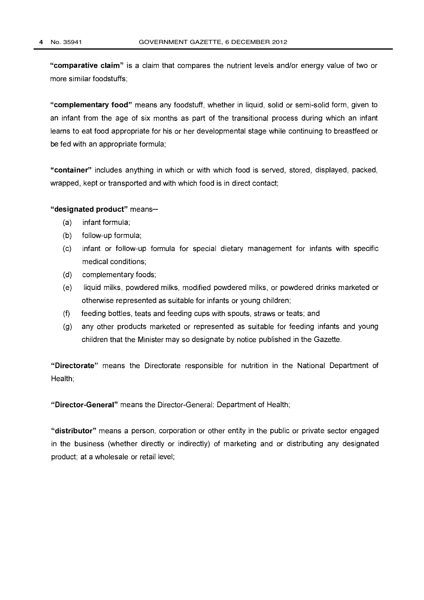"comparative claim" is a claim that compares the nutrient levels and/or energy value of two or more similar foodstuffs;

"complementary food" means any foodstuff, whether in liquid, solid or semi-solid form, given to an infant from the age of six months as part of the transitional process during which an infant learns to eat food appropriate for his or her developmental stage while continuing to breastfeed or be fed with an appropriate formula;

"container" includes anything in which or with which food is served, stored, displayed, packed, wrapped, kept or transported and with which food is in direct contact;

#### "designated product" means-

- (a) infant formula;
- (b) follow-up formula;
- (c) infant or follow-up formula for special dietary management for infants with specific medical conditions;
- (d) complementary foods;
- (e) liquid milks, powdered milks, modified powdered milks, or powdered drinks marketed or otherwise represented as suitable for infants or young children;
- (f) feeding bottles, teats and feeding cups with spouts, straws or teats; and
- (g) any other products marketed or represented as suitable for feeding infants and young children that the Minister may so designate by notice published in the Gazette.

"Directorate" means the Directorate responsible for nutrition in the National Department of Health;

"Director-General" means the Director-General: Department of Health;

"distributor" means a person, corporation or other entity in the public or private sector engaged in the business (whether directly or indirectly) of marketing and or distributing any designated product; at a wholesale or retail level;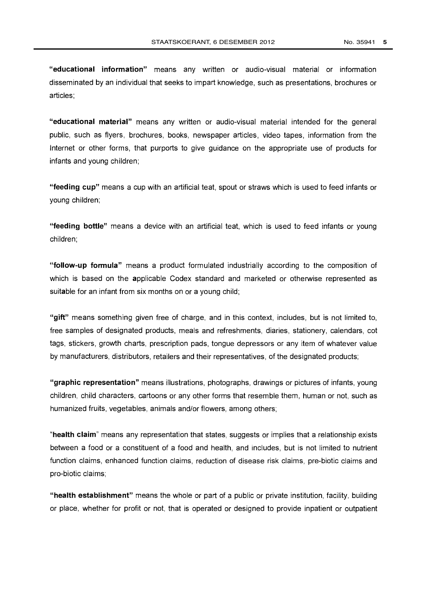"educational information" means any written or audio-visual material or information disseminated by an individual that seeks to impart knowledge, such as presentations, brochures or articles;

"educational material" means any written or audio-visual material intended for the general public, such as flyers, brochures, books, newspaper articles, video tapes, information from the Internet or other forms, that purports to give guidance on the appropriate use of products for infants and young children;

"feeding cup" means a cup with an artificial teat, spout or straws which is used to feed infants or young children;

"feeding bottle" means a device with an artificial teat, which is used to feed infants or young children;

"follow-up formula" means a product formulated industrially according to the composition of which is based on the applicable Codex standard and marketed or otherwise represented as suitable for an infant from six months on or a young child;

"gift" means something given free of charge, and in this context, includes, but is not limited to, free samples of designated products, meals and refreshments, diaries, stationery, calendars, cot tags, stickers, growth charts, prescription pads, tongue depressors or any item of whatever value by manufacturers, distributors, retailers and their representatives, of the designated products;

"graphic representation" means illustrations, photographs, drawings or pictures of infants, young children, child characters, cartoons or any other forms that resemble them, human or not, such as humanized fruits, vegetables, animals and/or flowers, among others;

"health claim" means any representation that states, suggests or implies that a relationship exists between a food or a constituent of a food and health, and includes, but is not limited to nutrient function claims, enhanced function claims, reduction of disease risk claims, pre-biotic claims and pro-biotic claims;

"health establishment" means the whole or part of a public or private institution, facility, building or place, whether for profit or not, that is operated or designed to provide inpatient or outpatient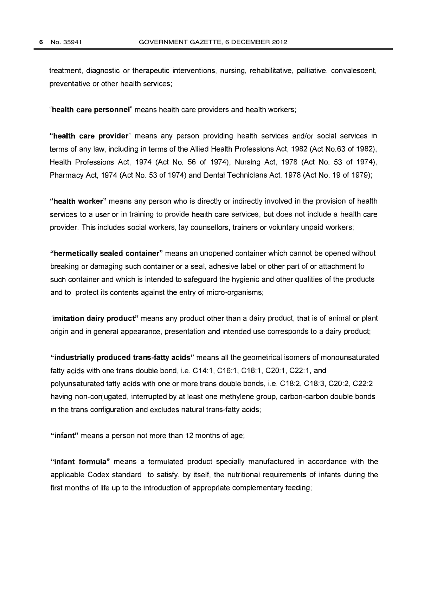treatment, diagnostic or therapeutic interventions, nursing, rehabilitative, palliative, convalescent, preventative or other health services;

"health care personnel" means health care providers and health workers;

"health care provider" means any person providing health services and/or social services in terms of any law, including in terms of the Allied Health Professions Act, 1982 (Act No.63 of 1982), Health Professions Act, 1974 (Act No. 56 of 1974), Nursing Act, 1978 (Act No. 53 of 1974), Pharmacy Act, 1974 (Act No. 53 of 1974) and Dental Technicians Act, 1978 (Act No. 19 of 1979);

"health worker" means any person who is directly or indirectly involved in the provision of health services to a user or in training to provide health care services, but does not include a health care provider. This includes social workers, lay counsellors, trainers or voluntary unpaid workers;

"hermetically sealed container" means an unopened container which cannot be opened without breaking or damaging such container or a seal, adhesive label or other part of or attachment to such container and which is intended to safeguard the hygienic and other qualities of the products and to protect its contents against the entry of micro-organisms;

"imitation dairy product" means any product other than a dairy product, that is of animal or plant origin and in general appearance, presentation and intended use corresponds to a dairy product;

"industrially produced trans-fatty acids" means all the geometrical isomers of monounsaturated fatty acids with one trans double bond, i.e. C14:1, C16:1, C18:1, C20:1, C22:1, and polyunsaturated fatty acids with one or more trans double bonds, i.e. C18:2, C18:3, C20:2, C22:2 having non-conjugated, interrupted by at least one methylene group, carbon-carbon double bonds in the trans configuration and excludes natural trans-fatty acids;

"infant" means a person not more than 12 months of age;

"infant formula" means a formulated product specially manufactured in accordance with the applicable Codex standard to satisfy, by itself, the nutritional requirements of infants during the first months of life up to the introduction of appropriate complementary feeding;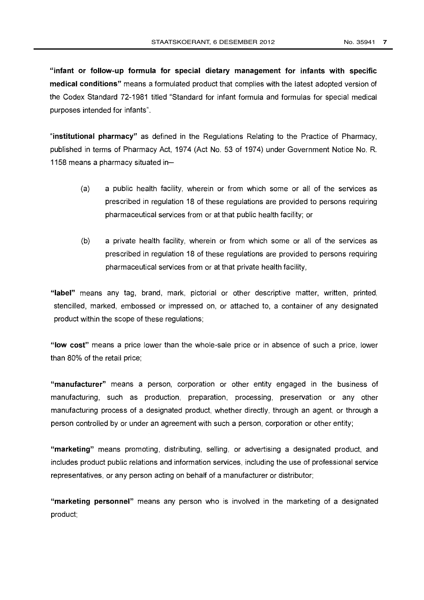"infant or follow-up formula for special dietary management for infants with specific medical conditions" means a formulated product that complies with the latest adopted version of the Codex Standard 72-1981 titled "Standard for infant formula and formulas for special medical purposes intended for infants".

"institutional pharmacy" as defined in the Regulations Relating to the Practice of Pharmacy, published in terms of Pharmacy Act, 1974 (Act No. 53 of 1974) under Government Notice No. R. 1158 means a pharmacy situated in-

- (a) a public health facility, wherein or from which some or all of the services as prescribed in regulation 18 of these regulations are provided to persons requiring pharmaceutical services from or at that public health facility; or
- (b) a private health facility, wherein or from which some or all of the services as prescribed in regulation 18 of these regulations are provided to persons requiring pharmaceutical services from or at that private health facility,

"label" means any tag, brand, mark, pictorial or other descriptive matter, written, printed, stencilled, marked, embossed or impressed on, or attached to, a container of any designated product within the scope of these regulations;

"low cost" means a price lower than the whole-sale price or in absence of such a price, lower than 80% of the retail price;

"manufacturer" means a person, corporation or other entity engaged in the business of manufacturing, such as production, preparation, processing, preservation or any other manufacturing process of a designated product, whether directly, through an agent, or through a person controlled by or under an agreement with such a person, corporation or other entity;

"marketing" means promoting, distributing, selling, or advertising a designated product, and includes product public relations and information services, including the use of professional service representatives, or any person acting on behalf of a manufacturer or distributor;

"marketing personnel" means any person who is involved in the marketing of a designated product;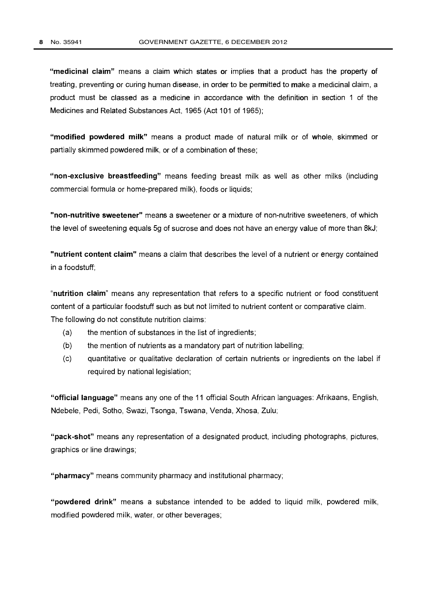"medicinal claim" means a claim which states or implies that a product has the property of treating, preventing or curing human disease, in order to be permitted to make a medicinal claim, a product must be classed as a medicine in accordance with the definition in section 1 of the Medicines and Related Substances Act, 1965 (Act 101 of 1965);

"modified powdered milk" means a product made of natural milk or of whole, skimmed or partially skimmed powdered milk, or of a combination of these;

"non-exclusive breastfeeding" means feeding breast milk as well as other milks (including commercial formula or home-prepared milk), foods or liquids;

"non-nutritive sweetener" means a sweetener or a mixture of non-nutritive sweeteners, of which the level of sweetening equals 5g of sucrose and does not have an energy value of more than 8kJ;

"nutrient content claim" means a claim that describes the level of a nutrient or energy contained in a foodstuff;

"nutrition claim" means any representation that refers to a specific nutrient or food constituent content of a particular foodstuff such as but not limited to nutrient content or comparative claim. The following do not constitute nutrition claims:

- (a) the mention of substances in the list of ingredients;
- (b) the mention of nutrients as a mandatory part of nutrition labelling;
- (c) quantitative or qualitative declaration of certain nutrients or ingredients on the label if required by national legislation;

"official language" means any one of the 11 official South African languages: Afrikaans, English, Ndebele, Pedi, Sotho, Swazi, Tsonga, Tswana, Venda, Xhosa, Zulu;

"pack-shot" means any representation of a designated product, including photographs, pictures, graphics or line drawings;

"pharmacy" means community pharmacy and institutional pharmacy;

"powdered drink" means a substance intended to be added to liquid milk, powdered milk, modified powdered milk, water, or other beverages;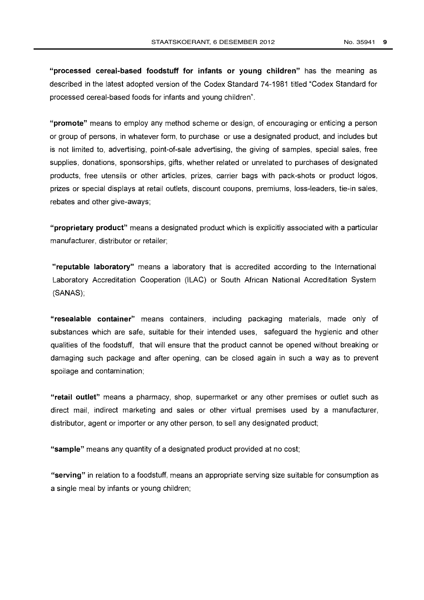"processed cereal-based foodstuff for infants or young children" has the meaning as described in the latest adopted version of the Codex Standard 74-1981 titled "Codex Standard for processed cereal-based foods for infants and young children".

"promote" means to employ any method scheme or design, of encouraging or enticing a person or group of persons, in whatever form, to purchase or use a designated product, and includes but is not limited to, advertising, point-of-sale advertising, the giving of samples, special sales, free supplies, donations, sponsorships, gifts, whether related or unrelated to purchases of designated products, free utensils or other articles, prizes, carrier bags with pack-shots or product logos, prizes or special displays at retail outlets, discount coupons, premiums, loss-leaders, tie-in sales, rebates and other give-aways;

"proprietary product" means a designated product which is explicitly associated with a particular manufacturer, distributor or retailer;

"reputable laboratory" means a laboratory that is accredited according to the International Laboratory Accreditation Cooperation (ILAC) or South African National Accreditation System (SANAS);

"resealable container" means containers, including packaging materials, made only of substances which are safe, suitable for their intended uses, safeguard the hygienic and other qualities of the foodstuff, that will ensure that the product cannot be opened without breaking or damaging such package and after opening, can be closed again in such a way as to prevent spoilage and contamination;

"retail outlet" means a pharmacy, shop, supermarket or any other premises or outlet such as direct mail, indirect marketing and sales or other virtual premises used by a manufacturer, distributor, agent or importer or any other person, to sell any designated product;

"sample" means any quantity of a designated product provided at no cost;

"serving" in relation to a foodstuff, means an appropriate serving size suitable for consumption as a single meal by infants or young children;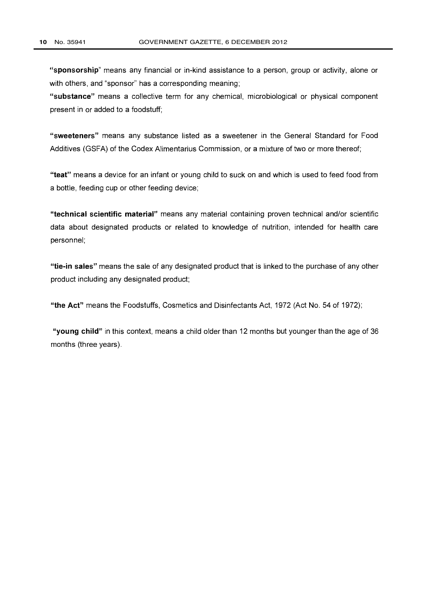"sponsorship" means any financial or in-kind assistance to a person, group or activity, alone or with others, and "sponsor" has a corresponding meaning;

"substance" means a collective term for any chemical, microbiological or physical component present in or added to a foodstuff;

"sweeteners" means any substance listed as a sweetener in the General Standard for Food Additives (GSFA) of the Codex Alimentarius Commission, or a mixture of two or more thereof;

"teat" means a device for an infant or young child to suck on and which is used to feed food from a bottle, feeding cup or other feeding device;

"technical scientific material" means any material containing proven technical and/or scientific data about designated products or related to knowledge of nutrition, intended for health care personnel;

"tie-in sales" means the sale of any designated product that is linked to the purchase of any other product including any designated product;

"the Act" means the Foodstuffs, Cosmetics and Disinfectants Act, 1972 (Act No. 54 of 1972);

"young child" in this context, means a child older than 12 months but younger than the age of 36 months (three years).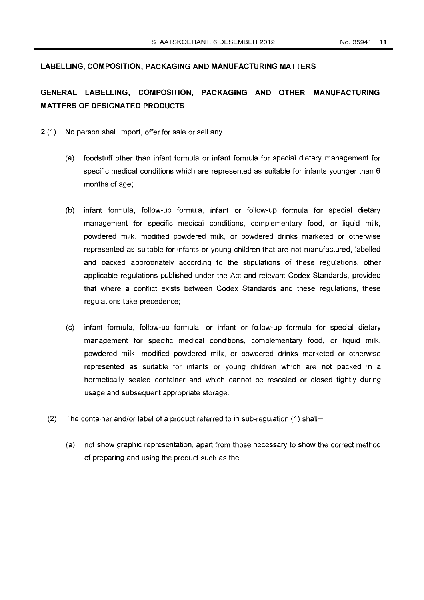#### LABELLING, COMPOSITION, PACKAGING AND MANUFACTURING MATTERS

## GENERAL LABELLING, COMPOSITION, PACKAGING AND OTHER MANUFACTURING MATTERS OF DESIGNATED PRODUCTS

- $2(1)$  No person shall import, offer for sale or sell any-
	- (a) foodstuff other than infant formula or infant formula for special dietary management for specific medical conditions which are represented as suitable for infants younger than 6 months of age;
	- (b) infant formula, follow-up formula, infant or follow-up formula for special dietary management for specific medical conditions, complementary food, or liquid milk, powdered milk, modified powdered milk, or powdered drinks marketed or otherwise represented as suitable for infants or young children that are not manufactured, labelled and packed appropriately according to the stipulations of these regulations, other applicable regulations published under the Act and relevant Codex Standards, provided that where a conflict exists between Codex Standards and these regulations, these regulations take precedence;
	- (c) infant formula, follow-up formula, or infant or follow-up formula for special dietary management for specific medical conditions, complementary food, or liquid milk, powdered milk, modified powdered milk, or powdered drinks marketed or otherwise represented as suitable for infants or young children which are not packed in <sup>a</sup> hermetically sealed container and which cannot be resealed or closed tightly during usage and subsequent appropriate storage.
	- (2) The container and/or label of a product referred to in sub-regulation (1) shall-
		- (a) not show graphic representation, apart from those necessary to show the correct method of preparing and using the product such as the-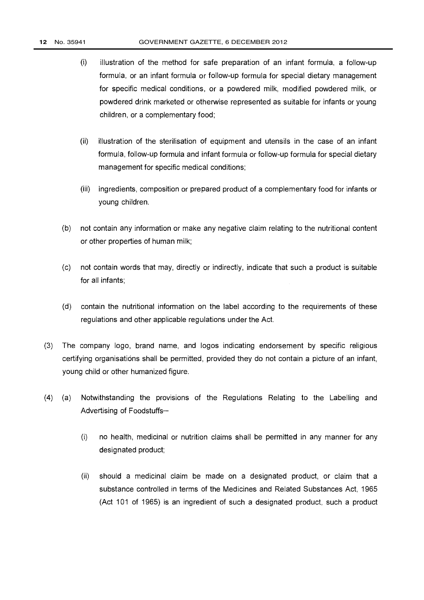- (i) illustration of the method for safe preparation of an infant formula, a follow-up formula, or an infant formula or follow-up formula for special dietary management for specific medical conditions, or a powdered milk, modified powdered milk, or powdered drink marketed or otherwise represented as suitable for infants or young children, or a complementary food;
- (ii) illustration of the sterilisation of equipment and utensils in the case of an infant formula, follow-up formula and infant formula or follow-up formula for special dietary management for specific medical conditions;
- (iii) ingredients, composition or prepared product of a complementary food for infants or young children.
- (b) not contain any information or make any negative claim relating to the nutritional content or other properties of human milk;
- (c) not contain words that may, directly or indirectly, indicate that such a product is suitable for all infants;
- (d) contain the nutritional information on the label according to the requirements of these regulations and other applicable regulations under the Act.
- (3) The company logo, brand name, and logos indicating endorsement by specific religious certifying organisations shall be permitted, provided they do not contain a picture of an infant, young child or other humanized figure.
- (4) (a) Notwithstanding the provisions of the Regulations Relating to the Labelling and Advertising of Foodstuffs-
	- (i) no health, medicinal or nutrition claims shall be permitted in any manner for any designated product;
	- (ii) should a medicinal claim be made on a designated product, or claim that a substance controlled in terms of the Medicines and Related Substances Act, 1965 (Act 101 of 1965) is an ingredient of such a designated product, such a product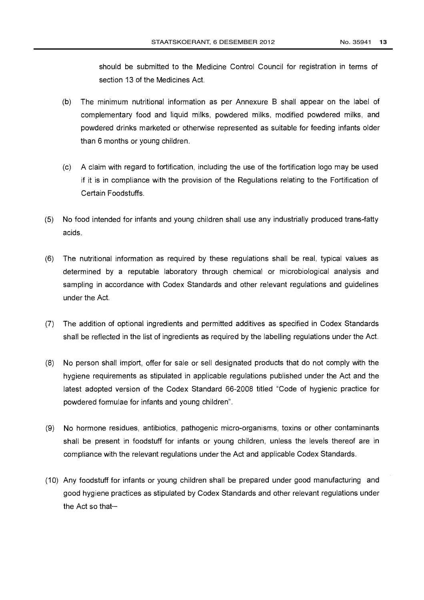should be submitted to the Medicine Control Council for registration in terms of section 13 of the Medicines Act.

- (b) The minimum nutritional information as per Annexure B shall appear on the label of complementary food and liquid milks, powdered milks, modified powdered milks, and powdered drinks marketed or otherwise represented as suitable for feeding infants older than 6 months or young children.
- (c) A claim with regard to fortification, including the use of the fortification logo may be used if it is in compliance with the provision of the Regulations relating to the Fortification of Certain Foodstuffs.
- (5) No food intended for infants and young children shall use any industrially produced trans-fatty acids.
- (6) The nutritional information as required by these regulations shall be real, typical values as determined by a reputable laboratory through chemical or microbiological analysis and sampling in accordance with Codex Standards and other relevant regulations and guidelines under the Act.
- (7) The addition of optional ingredients and permitted additives as specified in Codex Standards shall be reflected in the list of ingredients as required by the labelling regulations under the Act.
- (8) No person shall import, offer for sale or sell designated products that do not comply with the hygiene requirements as stipulated in applicable regulations published under the Act and the latest adopted version of the Codex Standard 66-2008 titled "Code of hygienic practice for powdered formulae for infants and young children".
- (9) No hormone residues, antibiotics, pathogenic micro-organisms, toxins or other contaminants shall be present in foodstuff for infants or young children, unless the levels thereof are in compliance with the relevant regulations under the Act and applicable Codex Standards.
- (10) Any foodstuff for infants or young children shall be prepared under good manufacturing and good hygiene practices as stipulated by Codex Standards and other relevant regulations under the Act so that $-$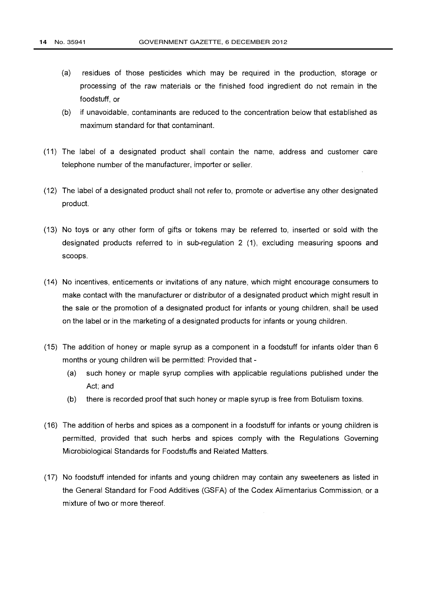- (a) residues of those pesticides which may be required in the production, storage or processing of the raw materials or the finished food ingredient do not remain in the foodstuff, or
- (b) if unavoidable, contaminants are reduced to the concentration below that established as maximum standard for that contaminant.
- (11) The label of a designated product shall contain the name, address and customer care telephone number of the manufacturer, importer or seller.
- (12) The label of a designated product shall not refer to, promote or advertise any other designated product.
- (13) No toys or any other form of gifts or tokens may be referred to, inserted or sold with the designated products referred to in sub-regulation 2 (1), excluding measuring spoons and scoops.
- (14) No incentives, enticements or invitations of any nature, which might encourage consumers to make contact with the manufacturer or distributor of a designated product which might result in the sale or the promotion of a designated product for infants or young children, shall be used on the label or in the marketing of a designated products for infants or young children.
- (15) The addition of honey or maple syrup as a component in a foodstuff for infants older than 6 months or young children will be permitted: Provided that -
	- (a) such honey or maple syrup complies with applicable regulations published under the Act; and
	- (b) there is recorded proof that such honey or maple syrup is free from Botulism toxins.
- (16) The addition of herbs and spices as a component in a foodstuff for infants or young children is permitted, provided that such herbs and spices comply with the Regulations Governing Microbiological Standards for Foodstuffs and Related Matters.
- (17) No foodstuff intended for infants and young children may contain any sweeteners as listed in the General Standard for Food Additives (GSFA) of the Codex Alimentarius Commission, or a mixture of two or more thereof.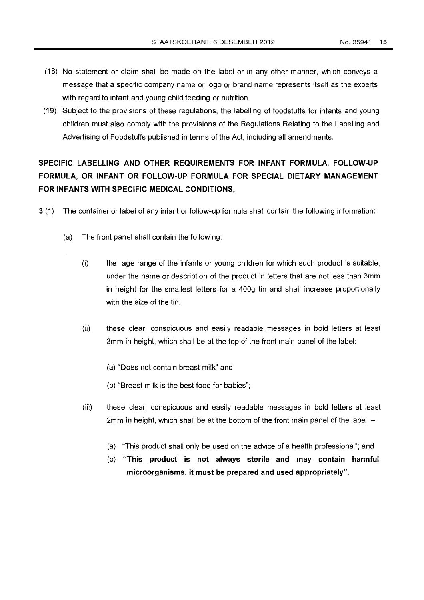- (18) No statement or claim shall be made on the label or in any other manner, which conveys a message that a specific company name or logo or brand name represents itself as the experts with regard to infant and young child feeding or nutrition.
- (19) Subject to the provisions of these regulations, the labelling of foodstuffs for infants and young children must also comply with the provisions of the Regulations Relating to the Labelling and Advertising of Foodstuffs published in terms of the Act, including all amendments.

## SPECIFIC LABELLING AND OTHER REQUIREMENTS FOR INFANT FORMULA, FOLLOW-UP FORMULA, OR INFANT OR FOLLOW-UP FORMULA FOR SPECIAL DIETARY MANAGEMENT FOR INFANTS WITH SPECIFIC MEDICAL CONDITIONS,

- 3 (1) The container or label of any infant or follow-up formula shall contain the following information:
	- (a) The front panel shall contain the following:
		- $(i)$  the age range of the infants or young children for which such product is suitable, under the name or description of the product in letters that are not less than 3mm in height for the smallest letters for a 400g tin and shall increase proportionally with the size of the tin;
		- (ii) these clear, conspicuous and easily readable messages in bold letters at least 3mm in height, which shall be at the top of the front main panel of the label:
			- (a) "Does not contain breast milk" and
			- (b) "Breast milk is the best food for babies";
		- (iii) these clear, conspicuous and easily readable messages in bold letters at least 2mm in height, which shall be at the bottom of the front main panel of the label  $-$ 
			- (a) "This product shall only be used on the advice of a health professional"; and
			- (b) "This product is not always sterile and may contain harmful microorganisms. It must be prepared and used appropriately".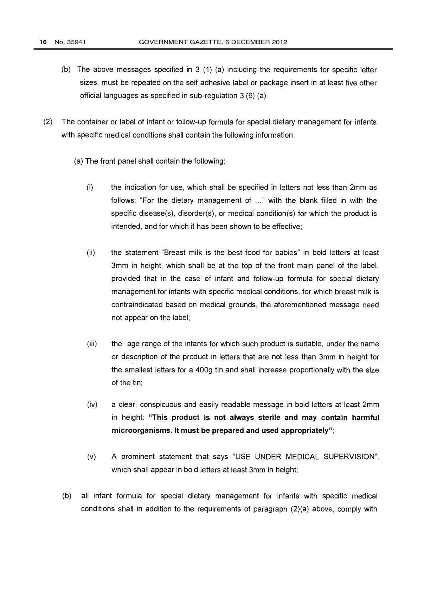- (b) The above messages specified in 3 (1) (a) including the requirements for specific letter sizes, must be repeated on the self adhesive label or package insert in at least five other official languages as specified in sub-regulation 3 (6) (a).
- (2) The container or label of infant or follow-up formula for special dietary management for infants with specific medical conditions shall contain the following information:
	- (a) The front panel shall contain the following:
		- (i) the indication for use, which shall be specified in letters not less than 2mm as follows: "For the dietary management of ..." with the blank filled in with the specific disease(s), disorder(s), or medical condition(s) for which the product is intended, and for which it has been shown to be effective;
		- (ii) the statement "Breast milk is the best food for babies" in bold letters at least 3mm in height, which shall be at the top of the front main panel of the label, provided that in the case of infant and follow-up formula for special dietary management for infants with specific medical conditions, for which breast milk is contraindicated based on medical grounds, the aforementioned message need not appear on the label;
		- (iii) the age range of the infants for which such product is suitable, under the name or description of the product in letters that are not less than 3mm in height for the smallest letters for a 400g tin and shall increase proportionally with the size of the tin;
		- (iv) a clear, conspicuous and easily readable message in bold letters at least 2mm in height: "This product is not always sterile and may contain harmful microorganisms. It must be prepared and used appropriately";
		- (v) A prominent statement that says "USE UNDER MEDICAL SUPERVISION", which shall appear in bold letters at least 3mm in height;
	- (b) all infant formula for special dietary management for infants with specific medical conditions shall in addition to the requirements of paragraph (2)(a) above, comply with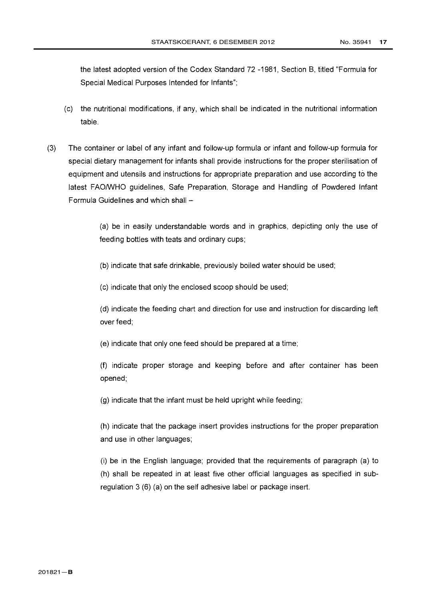the latest adopted version of the Codex Standard 72 -1981, Section B, titled "Formula for Special Medical Purposes Intended for Infants";

- (c) the nutritional modifications, if any, which shall be indicated in the nutritional information table.
- (3) The container or label of any infant and follow-up formula or infant and follow-up formula for special dietary management for infants shall provide instructions for the proper sterilisation of equipment and utensils and instructions for appropriate preparation and use according to the latest FAO/WHO guidelines, Safe Preparation, Storage and Handling of Powdered Infant Formula Guidelines and which shall -

(a) be in easily understandable words and in graphics, depicting only the use of feeding bottles with teats and ordinary cups;

(b) indicate that safe drinkable, previously boiled water should be used;

(c) indicate that only the enclosed scoop should be used;

(d) indicate the feeding chart and direction for use and instruction for discarding left over feed;

(e) indicate that only one feed should be prepared at a time;

(f) indicate proper storage and keeping before and after container has been opened;

(g) indicate that the infant must be held upright while feeding;

(h) indicate that the package insert provides instructions for the proper preparation and use in other languages;

(i) be in the English language; provided that the requirements of paragraph (a) to (h) shall be repeated in at least five other official languages as specified in subregulation 3 (6) (a) on the self adhesive label or package insert.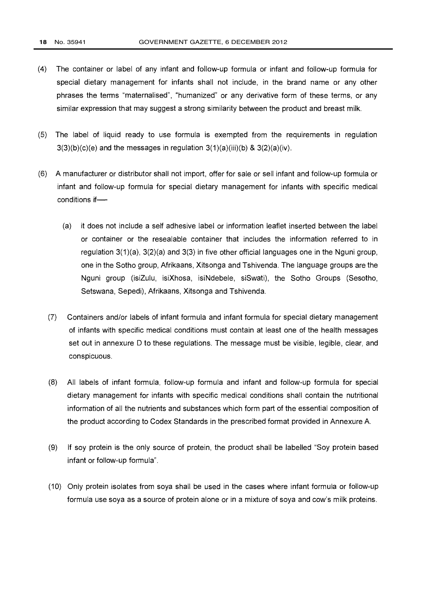- (4) The container or label of any infant and follow-up formula or infant and follow-up formula for special dietary management for infants shall not include, in the brand name or any other phrases the terms "maternalised", "humanized" or any derivative form of these terms, or any similar expression that may suggest a strong similarity between the product and breast milk.
- (5) The label of liquid ready to use formula is exempted from the requirements in regulation  $3(3)(b)(c)(e)$  and the messages in regulation  $3(1)(a)(iii)(b)$  &  $3(2)(a)(iv)$ .
- (6) A manufacturer or distributor shall not import, offer for sale or sell infant and follow-up formula or infant and follow-up formula for special dietary management for infants with specific medical conditions if-
	- (a) it does not include a self adhesive label or information leaflet inserted between the label or container or the resealable container that includes the information referred to in regulation 3(1)(a), 3(2)(a) and 3(3) in five other official languages one in the Nguni group, one in the Sotho group, Afrikaans, Xitsonga and Tshivenda. The language groups are the Nguni group (isiZulu, isiXhosa, isiNdebele, siSwati), the Sotho Groups (Sesotho, Setswana, Sepedi), Afrikaans, Xitsonga and Tshivenda.
	- (7) Containers and/or labels of infant formula and infant formula for special dietary management of infants with specific medical conditions must contain at least one of the health messages set out in annexure D to these regulations. The message must be visible, legible, clear, and conspicuous.
	- (8) All labels of infant formula, follow-up formula and infant and follow-up formula for special dietary management for infants with specific medical conditions shall contain the nutritional information of all the nutrients and substances which form part of the essential composition of the product according to Codex Standards in the prescribed format provided in Annexure A.
	- (9) If soy protein is the only source of protein, the product shall be labelled "Soy protein based infant or follow-up formula".
	- (10) Only protein isolates from soya shall be used in the cases where infant formula or follow-up formula use soya as a source of protein alone or in a mixture of soya and cow's milk proteins.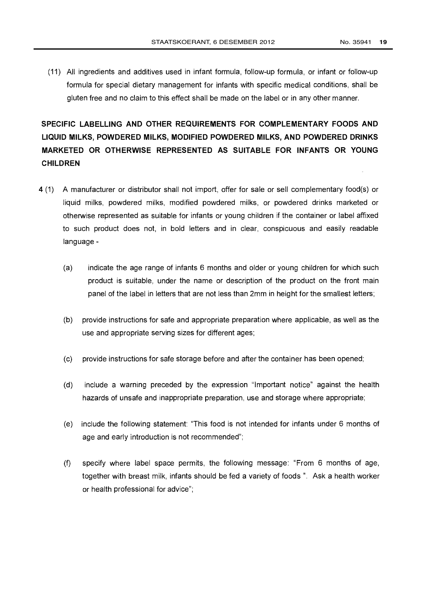(11) All ingredients and additives used in infant formula, follow-up formula, or infant or follow-up formula for special dietary management for infants with specific medical conditions, shall be gluten free and no claim to this effect shall be made on the label or in any other manner.

SPECIFIC LABELLING AND OTHER REQUIREMENTS FOR COMPLEMENTARY FOODS AND LIQUID MILKS, POWDERED MILKS, MODIFIED POWDERED MILKS, AND POWDERED DRINKS MARKETED OR OTHERWISE REPRESENTED AS SUITABLE FOR INFANTS OR YOUNG CHILDREN

- 4 (1) A manufacturer or distributor shall not import, offer for sale or sell complementary food(s) or liquid milks, powdered milks, modified powdered milks, or powdered drinks marketed or otherwise represented as suitable for infants or young children if the container or label affixed to such product does not, in bold letters and in clear, conspicuous and easily readable language -
	- (a) indicate the age range of infants 6 months and older or young children for which such product is suitable, under the name or description of the product on the front main panel of the label in letters that are not less than 2mm in height for the smallest letters;
	- (b) provide instructions for safe and appropriate preparation where applicable, as well as the use and appropriate serving sizes for different ages;
	- (c) provide instructions for safe storage before and after the container has been opened;
	- (d) include a warning preceded by the expression "Important notice" against the health hazards of unsafe and inappropriate preparation, use and storage where appropriate;
	- (e) include the following statement: "This food is not intended for infants under 6 months of age and early introduction is not recommended";
	- (f) specify where label space permits, the following message: "From 6 months of age, together with breast milk, infants should be fed a variety of foods ". Ask a health worker or health professional for advice";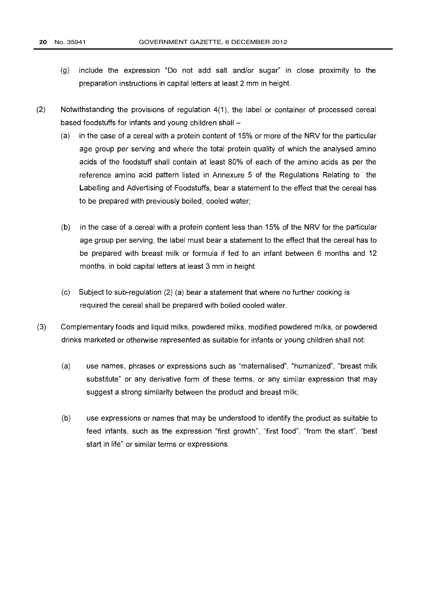- (g) include the expression "Do not add salt and/or sugar" in close proximity to the preparation instructions in capital letters at least 2 mm in height.
- (2) Notwithstanding the provisions of regulation 4(1), the label or container of processed cereal based foodstuffs for infants and young children shall  $-$ 
	- (a) in the case of a cereal with a protein content of 15% or more of the NRV for the particular age group per serving and where the total protein quality of which the analysed amino acids of the foodstuff shall contain at least 80% of each of the amino acids as per the reference amino acid pattern listed in Annexure 5 of the Regulations Relating to the Labelling and Advertising of Foodstuffs, bear a statement to the effect that the cereal has to be prepared with previously boiled, cooled water;
	- (b) in the case of a cereal with a protein content less than 15% of the NRV for the particular age group per serving, the label must bear a statement to the effect that the cereal has to be prepared with breast milk or formula if fed to an infant between 6 months and 12 months, in bold capital letters at least 3 mm in height.
	- (c) Subject to sub-regulation (2) (a) bear a statement that where no further cooking is required the cereal shall be prepared with boiled cooled water.
- (3) Complementary foods and liquid milks, powdered milks, modified powdered milks, or powdered drinks marketed or otherwise represented as suitable for infants or young children shall not:
	- (a) use names, phrases or expressions such as "maternalised", "humanized", "breast milk substitute" or any derivative form of these terms, or any similar expression that may suggest a strong similarity between the product and breast milk;
	- (b) use expressions or names that may be understood to identify the product as suitable to feed infants, such as the expression "first growth", "first food", "from the start", "best start in life" or similar terms or expressions.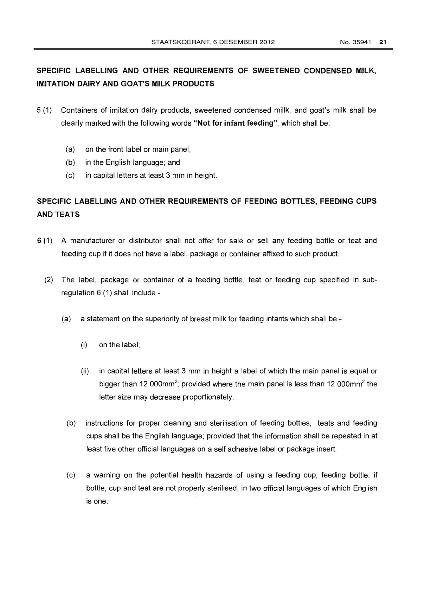## SPECIFIC LABELLING AND OTHER REQUIREMENTS OF SWEETENED CONDENSED MILK, IMITATION DAIRY AND GOAT'S MILK PRODUCTS

- 5 (1) Containers of imitation dairy products, sweetened condensed millk, and goat's milk shall be clearly marked with the following words "Not for infant feeding", which shall be:
	- (a) on the front label or main panel;
	- (b) in the English language; and
	- (c) in capital letters at least 3 mm in height.

## SPECIFIC LABELLING AND OTHER REQUIREMENTS OF FEEDING BOTTLES, FEEDING CUPS AND TEATS

- 6 (1) A manufacturer or distributor shall not offer for sale or sell any feeding bottle or teat and feeding cup if it does not have a label, package or container affixed to such product.
	- (2) The label, package or container of a feeding bottle, teat or feeding cup specified in subregulation 6 (1) shall include -
		- (a) a statement on the superiority of breast milk for feeding infants which shall be
			- (i) on the label;
			- (ii) in capital letters at least 3 mm in height a label of which the main panel is equal or bigger than 12 000mm<sup>2</sup>; provided where the main panel is less than 12 000mm<sup>2</sup> the letter size may decrease proportionately.
			- (b) instructions for proper cleaning and sterilisation of feeding bottles, teats and feeding cups shall be the English language; provided that the information shall be repeated in at least five other official languages on a self adhesive label or package insert.
			- (c) a warning on the potential health hazards of using a feeding cup, feeding bottle, if bottle, cup and teat are not properly sterilised, in two official languages of which English is one.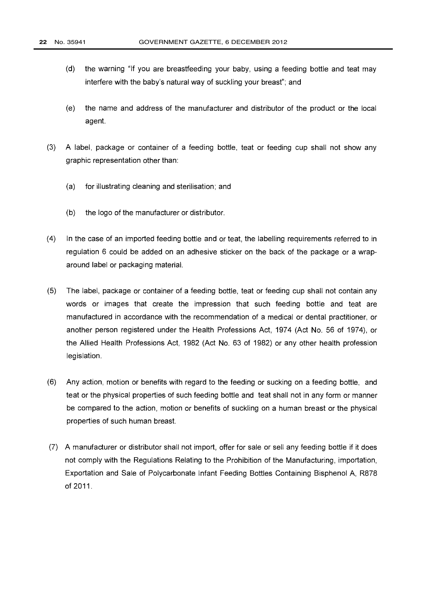- (d) the warning "If you are breastfeeding your baby, using a feeding bottle and teat may interfere with the baby's natural way of suckling your breast"; and
- (e) the name and address of the manufacturer and distributor of the product or the local agent.
- (3) A label, package or container of a feeding bottle, teat or feeding cup shall not show any graphic representation other than:
	- (a) for illustrating cleaning and sterilisation; and
	- (b) the logo of the manufacturer or distributor.
- (4) In the case of an imported feeding bottle and or teat, the labelling requirements referred to in regulation 6 could be added on an adhesive sticker on the back of the package or a wraparound label or packaging material.
- (5) The label, package or container of a feeding bottle, teat or feeding cup shall not contain any words or images that create the impression that such feeding bottle and teat are manufactured in accordance with the recommendation of a medical or dental practitioner, or another person registered under the Health Professions Act, 1974 (Act No. 56 of 1974), or the Allied Health Professions Act, 1982 (Act No. 63 of 1982) or any other health profession legislation.
- (6) Any action, motion or benefits with regard to the feeding or sucking on a feeding bottle, and teat or the physical properties of such feeding bottle and teat shall not in any form or manner be compared to the action, motion or benefits of suckling on a human breast or the physical properties of such human breast.
- (7) A manufacturer or distributor shall not import, offer for sale or sell any feeding bottle if it does not comply with the Regulations Relating to the Prohibition of the Manufacturing, importation, Exportation and Sale of Polycarbonate Infant Feeding Bottles Containing Bisphenol A, R878 of 2011.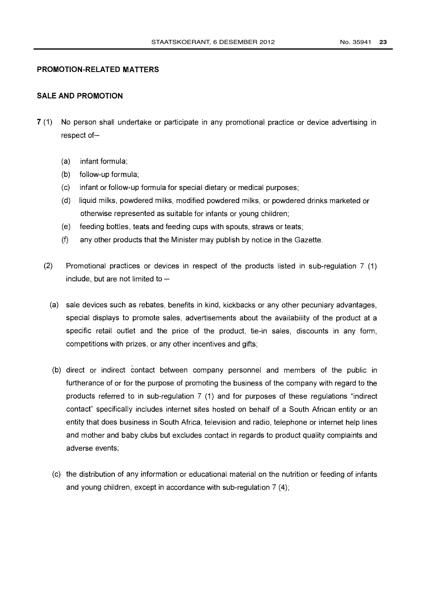#### PROMOTION-RELATED MATTERS

#### SALE AND PROMOTION

- 7 (1) No person shall undertake or participate in any promotional practice or device advertising in respect of-
	- (a) infant formula;
	- (b) follow-up formula;
	- (c) infant or follow-up formula for special dietary or medical purposes;
	- (d) liquid milks, powdered milks, modified powdered milks, or powdered drinks marketed or otherwise represented as suitable for infants or young children;
	- (e) feeding bottles, teats and feeding cups with spouts, straws or teats;
	- (f) any other products that the Minister may publish by notice in the Gazette.
	- (2) Promotional practices or devices in respect of the products listed in sub-regulation 7 (1) include, but are not limited to  $-$ 
		- (a) sale devices such as rebates, benefits in kind, kickbacks or any other pecuniary advantages, special displays to promote sales, advertisements about the availability of the product at a specific retail outlet and the price of the product, tie-in sales, discounts in any form, competitions with prizes, or any other incentives and gifts;
		- (b) direct or indirect contact between company personnel and members of the public in furtherance of or for the purpose of promoting the business of the company with regard to the products referred to in sub-regulation 7 (1) and for purposes of these regulations "indirect contact" specifically includes internet sites hosted on behalf of a South African entity or an entity that does business in South Africa, television and radio, telephone or internet help lines and mother and baby clubs but excludes contact in regards to product quality complaints and adverse events;
		- (c) the distribution of any information or educational material on the nutrition or feeding of infants and young children, except in accordance with sub-regulation 7 (4);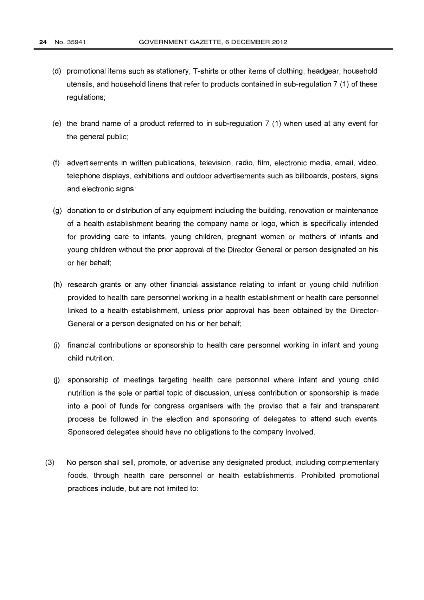- (d) promotional items such as stationery, T-shirts or other items of clothing, headgear, household utensils, and household linens that refer to products contained in sub-regulation 7 (1) of these regulations;
- (e) the brand name of a product referred to in sub-regulation 7 (1) when used at any event for the general public;
- (f) advertisements in written publications, television, radio, film, electronic media, email, video, telephone displays, exhibitions and outdoor advertisements such as billboards, posters, signs and electronic signs;
- (g) donation to or distribution of any equipment including the building, renovation or maintenance of a health establishment bearing the company name or logo, which is specifically intended for providing care to infants, young children, pregnant women or mothers of infants and young children without the prior approval of the Director General or person designated on his or her behalf;
- (h) research grants or any other financial assistance relating to infant or young child nutrition provided to health care personnel working in a health establishment or health care personnel linked to a health establishment, unless prior approval has been obtained by the Director-General or a person designated on his or her behalf;
- (i) financial contributions or sponsorship to health care personnel working in infant and young child nutrition;
- (j) sponsorship of meetings targeting health care personnel where infant and young child nutrition is the sole or partial topic of discussion, unless contribution or sponsorship is made into a pool of funds for congress organisers with the proviso that a fair and transparent process be followed in the election and sponsoring of delegates to attend such events. Sponsored delegates should have no obligations to the company involved.
- (3) No person shall sell, promote, or advertise any designated product, including complementary foods, through health care personnel or health establishments. Prohibited promotional practices include, but are not limited to: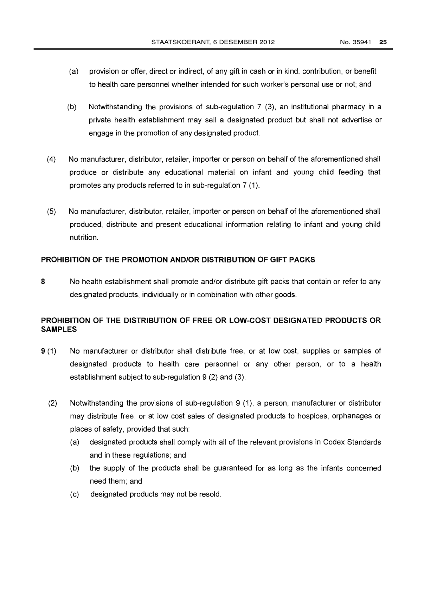- (a) provision or offer, direct or indirect, of any gift in cash or in kind, contribution, or benefit to health care personnel whether intended for such worker's personal use or not; and
- (b) Notwithstanding the provisions of sub-regulation 7 (3), an institutional pharmacy in a private health establishment may sell a designated product but shall not advertise or engage in the promotion of any designated product.
- (4) No manufacturer, distributor, retailer, importer or person on behalf of the aforementioned shall produce or distribute any educational material on infant and young child feeding that promotes any products referred to in sub-regulation 7 (1).
- (5) No manufacturer, distributor, retailer, importer or person on behalf of the aforementioned shall produced, distribute and present educational information relating to infant and young child nutrition.

#### PROHIBITION OF THE PROMOTION AND/OR DISTRIBUTION OF GIFT PACKS

8 No health establishment shall promote and/or distribute gift packs that contain or refer to any designated products, individually or in combination with other goods.

#### PROHIBITION OF THE DISTRIBUTION OF FREE OR LOW-COST DESIGNATED PRODUCTS OR SAMPLES

- 9 (1) No manufacturer or distributor shall distribute free, or at low cost, supplies or samples of designated products to health care personnel or any other person, or to a health establishment subject to sub-regulation 9 (2) and (3).
	- (2) Notwithstanding the provisions of sub-regulation 9 (1), a person, manufacturer or distributor may distribute free, or at low cost sales of designated products to hospices, orphanages or places of safety, provided that such:
		- (a) designated products shall comply with all of the relevant provisions in Codex Standards and in these regulations; and
		- (b) the supply of the products shall be guaranteed for as long as the infants concerned need them; and
		- (c) designated products may not be resold.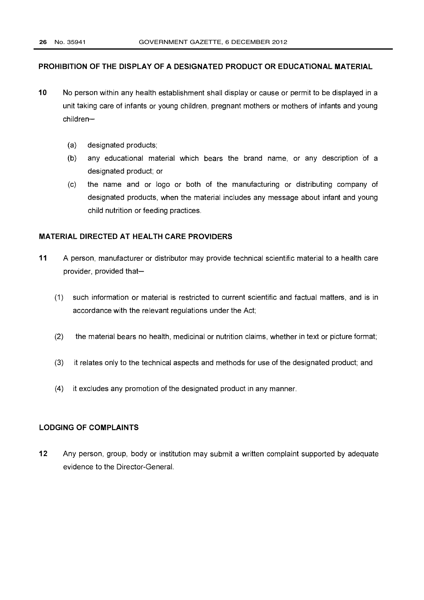#### PROHIBITION OF THE DISPLAY OF A DESIGNATED PRODUCT OR EDUCATIONAL MATERIAL

- 10 No person within any health establishment shall display or cause or permit to be displayed in a unit taking care of infants or young children, pregnant mothers or mothers of infants and young children-
	- (a) designated products;
	- (b) any educational material which bears the brand name, or any description of a designated product; or
	- (c) the name and or logo or both of the manufacturing or distributing company of designated products, when the material includes any message about infant and young child nutrition or feeding practices.

#### MATERIAL DIRECTED AT HEALTH CARE PROVIDERS

- 11 A person, manufacturer or distributor may provide technical scientific material to a health care provider, provided that-
	- (1) such information or material is restricted to current scientific and factual matters, and is in accordance with the relevant regulations under the Act;
	- (2) the material bears no health, medicinal or nutrition claims, whether in text or picture format;
	- (3) it relates only to the technical aspects and methods for use of the designated product; and
	- (4) it excludes any promotion of the designated product in any manner.

#### LODGING OF COMPLAINTS

12 Any person, group, body or institution may submit a written complaint supported by adequate evidence to the Director-General.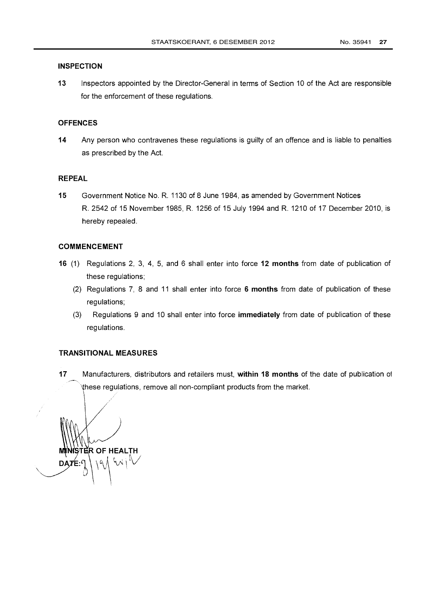#### **INSPECTION**

13 Inspectors appointed by the Director-General in terms of Section 10 of the Act are responsible for the enforcement of these regulations.

#### **OFFENCES**

14 Any person who contravenes these regulations is guilty of an offence and is liable to penalties as prescribed by the Act.

#### REPEAL

15 Government Notice No. R. 1130 of 8 June 1984, as amended by Government Notices R. 2542 of 15 November 1985, R. 1256 of 15 July 1994 and R. 1210 of 17 December 2010, is hereby repealed.

#### COMMENCEMENT

- 16 (1) Regulations 2, 3, 4, 5, and 6 shall enter into force 12 months from date of publication of these regulations;
	- (2) Regulations 7, 8 and 11 shall enter into force 6 months from date of publication of these regulations;
	- (3) Regulations 9 and 10 shall enter into force immediately from date of publication of these regulations.

#### TRANSITIONAL MEASURES

17 Manufacturers, distributors and retailers must, within 18 months of the date of publication of hese regulations, remove all non-compliant products from the market.

ISTER OF HEALTH  $\mathcal{N}$ DATE: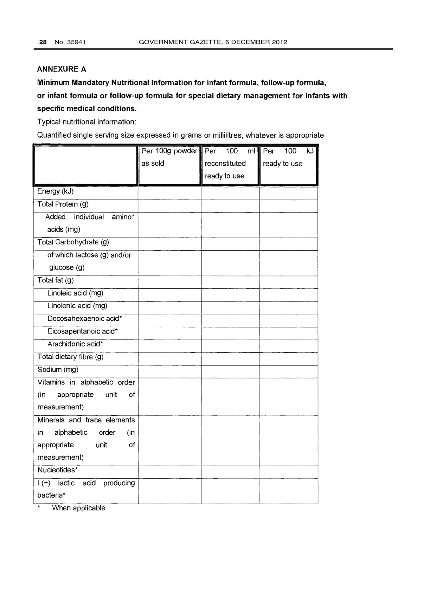#### ANNEXURE A

Minimum Mandatory Nutritional Information for infant formula, follow-up formula, or infant formula or follow-up formula for special dietary management for infants with specific medical conditions.

Typical nutritional information:

Quantified single serving size expressed in grams or millilitres, whatever is appropriate

|                                    | Per 100g powder Per | 100           | ml Per<br>100<br>kJ |
|------------------------------------|---------------------|---------------|---------------------|
|                                    | as sold             | reconstituted | ready to use        |
|                                    |                     | ready to use  |                     |
| Energy (kJ)                        |                     |               |                     |
| Total Protein (g)                  |                     |               |                     |
| Added<br>individual<br>amino*      |                     |               |                     |
| acids (mg)                         |                     |               |                     |
| Total Carbohydrate (g)             |                     |               |                     |
| of which lactose (g) and/or        |                     |               |                     |
| glucose (g)                        |                     |               |                     |
| Total fat (g)                      |                     |               |                     |
| Linoleic acid (mg)                 |                     |               |                     |
| Linolenic acid (mg)                |                     |               |                     |
| Docosahexaenoic acid*              |                     |               |                     |
| Eicosapentanoic acid*              |                     |               |                     |
| Arachidonic acid*                  |                     |               |                     |
| Total dietary fibre (g)            |                     |               |                     |
| Sodium (mg)                        |                     |               |                     |
| Vitamins in alphabetic order       |                     |               |                     |
| appropriate<br>(in<br>unit<br>of   |                     |               |                     |
| measurement)                       |                     |               |                     |
| Minerals and trace elements        |                     |               |                     |
| alphabetic<br>order<br>in<br>(in   |                     |               |                     |
| appropriate<br>unit<br>of          |                     |               |                     |
| measurement)                       |                     |               |                     |
| Nucleotides*                       |                     |               |                     |
| $L(+)$ lactic<br>acid<br>producing |                     |               |                     |
| bacteria*                          |                     |               |                     |

When applicable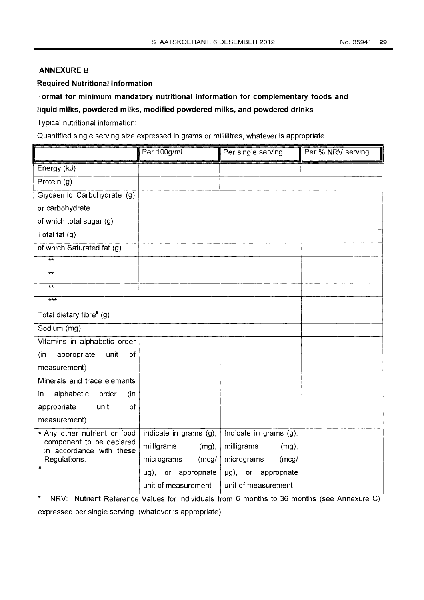### ANNEXURE B

#### Required Nutritional Information

# Format for minimum mandatory nutritional information for complementary foods and

## liquid milks, powdered milks, modified powdered milks, and powdered drinks

Typical nutritional information:

Quantified single serving size expressed in grams or millilitres, whatever is appropriate

|                                                      | Per 100g/ml                 | Per single serving     | Per % NRV serving |
|------------------------------------------------------|-----------------------------|------------------------|-------------------|
| Energy (kJ)                                          |                             |                        |                   |
| Protein (g)                                          |                             |                        |                   |
| Glycaemic Carbohydrate (g)                           |                             |                        |                   |
| or carbohydrate                                      |                             |                        |                   |
| of which total sugar (g)                             |                             |                        |                   |
| Total fat (g)                                        |                             |                        |                   |
| of which Saturated fat (g)                           |                             |                        |                   |
| $\star\star$                                         |                             |                        |                   |
| $**$                                                 |                             |                        |                   |
| $***$                                                |                             |                        |                   |
| $***$                                                |                             |                        |                   |
| Total dietary fibre <sup>#</sup> (g)                 |                             |                        |                   |
| Sodium (mg)                                          |                             |                        |                   |
| Vitamins in alphabetic order                         |                             |                        |                   |
| unit<br>(in)<br>appropriate<br>of                    |                             |                        |                   |
| measurement)                                         |                             |                        |                   |
| Minerals and trace elements                          |                             |                        |                   |
| alphabetic<br>order<br>in.<br>(in                    |                             |                        |                   |
| appropriate<br>unit<br>of                            |                             |                        |                   |
| measurement)                                         |                             |                        |                   |
| * Any other nutrient or food                         | Indicate in grams (g),      | Indicate in grams (g), |                   |
| component to be declared<br>in accordance with these | milligrams<br>$(mg)$ ,      | milligrams<br>$(mg)$ , |                   |
| Regulations.                                         | micrograms<br>(mcg/         | micrograms<br>(mcg/    |                   |
|                                                      | appropriate<br>$\mu$ g), or | µg), or appropriate    |                   |
|                                                      | unit of measurement         | unit of measurement    |                   |

\* NRV: Nutrient Reference Values for individuals from 6 months to 36 months (see Annexure C) expressed per single serving. (whatever is appropriate)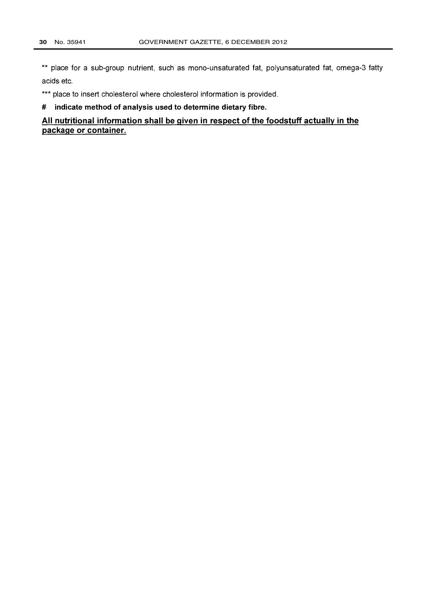\*\* place for a sub-group nutrient, such as mono-unsaturated fat, polyunsaturated fat, omega-3 fatty acids etc.

\*\*\* place to insert cholesterol where cholesterol information is provided.

# indicate method of analysis used to determine dietary fibre.

All nutritional information shall be given in respect of the foodstuff actually in the package or container.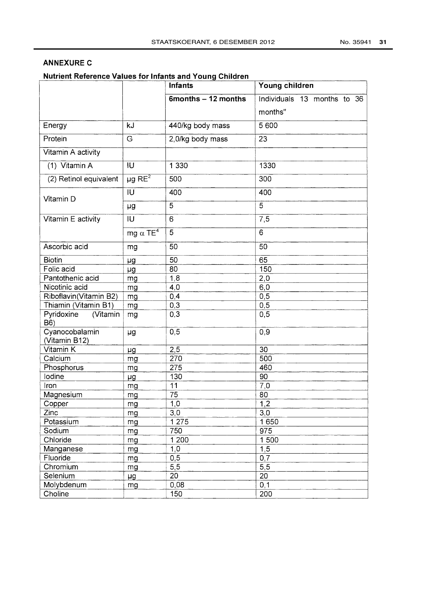### ANNEXURE C

Nutrient Reference Values for Infants and Youna Children

|                                 |                             | Infants             | Young children              |  |
|---------------------------------|-----------------------------|---------------------|-----------------------------|--|
|                                 |                             | 6months - 12 months | Individuals 13 months to 36 |  |
|                                 |                             |                     | months"                     |  |
| Energy                          | kJ                          | 440/kg body mass    | 5 600                       |  |
| Protein                         | G                           | 2,0/kg body mass    | 23                          |  |
| Vitamin A activity              |                             |                     |                             |  |
| (1) Vitamin A                   | IU                          | 1 3 3 0             | 1330                        |  |
| (2) Retinol equivalent          | $\mu$ g RE <sup>2</sup>     | 500                 | 300                         |  |
| Vitamin D                       | IU                          | 400                 | 400                         |  |
|                                 | μg                          | 5                   | 5                           |  |
| Vitamin E activity              | IU                          | 6                   | 7,5                         |  |
|                                 | mg $\alpha$ TE <sup>4</sup> | 5                   | 6                           |  |
| Ascorbic acid                   | mg                          | 50                  | 50                          |  |
| <b>Biotin</b>                   | μg                          | 50                  | 65                          |  |
| Folic acid                      | μg                          | 80                  | 150                         |  |
| Pantothenic acid                | mg                          | 1,8                 | 2,0                         |  |
| Nicotinic acid                  | mg                          | 4,0                 | 6,0                         |  |
| Riboflavin(Vitamin B2)          | mg                          | 0,4                 | 0,5                         |  |
| Thiamin (Vitamin B1)            | mg                          | 0,3                 | 0,5                         |  |
| Pyridoxine<br>(Vitamin<br>B6)   | mg                          | 0,3                 | 0, 5                        |  |
| Cyanocobalamin<br>(Vitamin B12) | μg                          | 0,5                 | 0,9                         |  |
| Vitamin K                       | μg                          | 2,5                 | 30                          |  |
| Calcium                         | mg                          | 270                 | 500                         |  |
| Phosphorus                      | mg                          | 275                 | 460                         |  |
| lodine                          | μg                          | 130                 | 90                          |  |
| Iron                            | mg                          | 11                  | 7,0                         |  |
| Magnesium                       | mg                          | 75                  | 80                          |  |
| Copper                          | mg                          | 1,0                 | 1,2                         |  |
| Zinc                            | mg                          | 3,0                 | 3,0                         |  |
| Potassium                       | mg                          | 1 2 7 5             | 1650                        |  |
| Sodium                          | mg                          | 750                 | 975                         |  |
| Chloride                        | mg                          | 1200                | 1500                        |  |
| Manganese                       | mg                          | 1,0                 | 1,5                         |  |
| Fluoride                        | mg                          | 0,5                 | 0,7                         |  |
| Chromium                        | mg                          | 5,5                 | 5,5                         |  |
| Selenium                        | μg                          | 20                  | 20                          |  |
| Molybdenum                      | mg                          | 0,08                | 0, 1                        |  |
| Choline                         |                             | 150                 | 200                         |  |